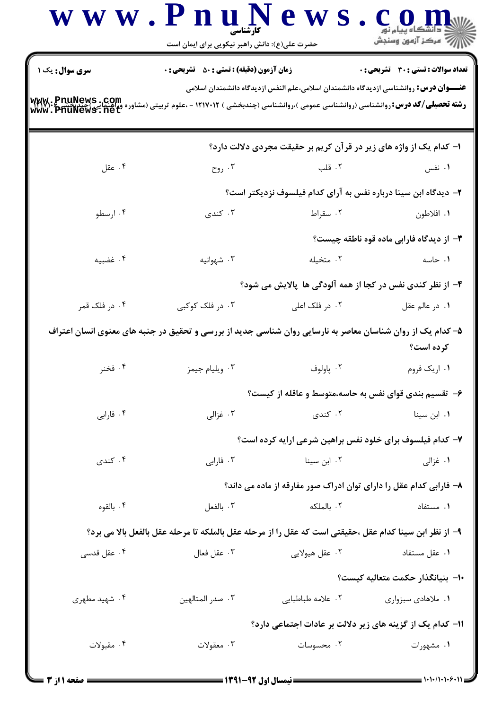|                                                          | حضرت علی(ع): دانش راهبر نیکویی برای ایمان است                                                                |                                                                                               | د دانشگاه پيام نور<br>/// مرکز آزمون وسنجش       |
|----------------------------------------------------------|--------------------------------------------------------------------------------------------------------------|-----------------------------------------------------------------------------------------------|--------------------------------------------------|
| <b>سری سوال:</b> یک ۱                                    | <b>زمان آزمون (دقیقه) : تستی : 50 ٪ تشریحی : 0</b>                                                           | <b>عنــــوان درس:</b> روانشناسی ازدیدگاه دانشمندان اسلامی،علم النفس ازدیدگاه دانشمندان اسلامی | <b>تعداد سوالات : تستي : 30 ٪ تشريحي : 0</b>     |
| www.PnuNews.com<br>وراهنمایی/چندیکسیا<br>www.PhuNews.net | <b>رشته تحصیلی/کد درس: ر</b> وانشناسی (روانشناسی عمومی )،روانشناسی (چندبخشی ) ۱۲۱۷۰۱۲ - ،علوم تربیتی (مشاوره |                                                                                               |                                                  |
|                                                          |                                                                                                              | ا- کدام یک از واژه های زیر در قرآن کریم بر حقیقت مجردی دلالت دارد؟                            |                                                  |
| ۰۴ عقل                                                   | ۰۳ روح $\cdot$                                                                                               | ۲. قلب                                                                                        | ۰۱ نفس                                           |
|                                                          |                                                                                                              | ۲– دیدگاه ابن سینا درباره نفس به آرای کدام فیلسوف نزدیکتر است؟                                |                                                  |
| ۰۴ ارسطو                                                 | ۰۳ کندی                                                                                                      | ۰۲ سقراط                                                                                      | ۰۱ افلاطون                                       |
|                                                          |                                                                                                              |                                                                                               | <b>۳</b> - از دیدگاه فارابی ماده قوه ناطقه چیست؟ |
| ۰۴ غضبيه                                                 | ۰۳ شهوانیه                                                                                                   | ۰۲ متخیله                                                                                     | ۰۱ حاسه                                          |
|                                                          |                                                                                                              | ۴- از نظر کندی نفس در کجا از همه آلودگی ها پالایش می شود؟                                     |                                                  |
| ۰۴ در فلک قمر                                            | ۰۳ در فلک کوکبی                                                                                              | ۰۲ در فلک اعلی                                                                                | ۰۱ در عالم عقل                                   |
|                                                          | ۵– کدام یک از روان شناسان معاصر به نارسایی روان شناسی جدید از بررسی و تحقیق در جنبه های معنوی انسان اعتراف   |                                                                                               | کرده است؟                                        |
| ۰۴ فخنر                                                  | ۰۳ ویلیام جیمز                                                                                               | ۰۲ پاولوف                                                                                     | ۰۱ اریک فروم                                     |
|                                                          |                                                                                                              | ۶– تقسیم بندی قوای نفس به حاسه،متوسط و عاقله از کیست؟                                         |                                                  |
| ۰۴ فارابی                                                | ۰۳ غزالی                                                                                                     | ۲. کندی                                                                                       | ۰۱ ابن سینا                                      |
|                                                          |                                                                                                              | ۷- کدام فیلسوف برای خلود نفس براهین شرعی ارایه کرده است؟                                      |                                                  |
| ۰۴ کندی                                                  | ۰۳ فارابی                                                                                                    | ۰۲ ابن سینا                                                                                   | ۰۱ غزالی                                         |
|                                                          |                                                                                                              | ۸– فارابی کدام عقل را دارای توان ادراک صور مفارقه از ماده می داند؟                            |                                                  |
| ۰۴ بالقوه                                                | ۰۳ بالفعل                                                                                                    | ۰۲ بالملکه                                                                                    | ۰۱ مستفاد                                        |
|                                                          | ٩– از نظر ابن سينا كدام عقل ،حقيقتي است كه عقل را از مرحله عقل بالملكه تا مرحله عقل بالفعل بالا مي برد؟      |                                                                                               |                                                  |
| ۰۴ عقل قدسی                                              | ۰۳ عقل فعال                                                                                                  | ۰۲ عقل هیولایی                                                                                | ۰۱ عقل مستفاد                                    |
|                                                          |                                                                                                              |                                                                                               | ∙ا–  بنيانگذار حكمت متعاليه كيست؟                |
| ۰۴ شهید مطهری                                            | ۰۳ صدر المتالهين                                                                                             | ٢. علامه طباطبايي                                                                             | ۰۱ ملاهادی سبزواری                               |
|                                                          |                                                                                                              | 11- کدام یک از گزینه های زیر دلالت بر عادات اجتماعی دارد؟                                     |                                                  |
| ۰۴ مقبولات                                               | ۰۳ معقولات                                                                                                   | ۰۲ محسوسات                                                                                    | ۰۱ مشهورات                                       |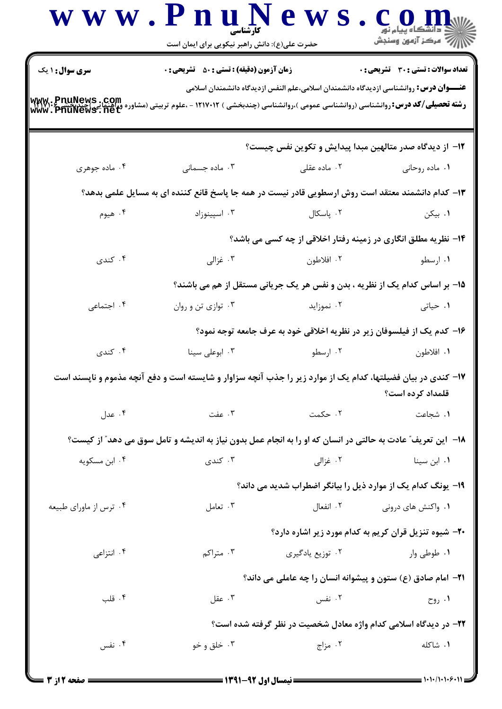|                                                       | حضرت علی(ع): دانش راهبر نیکویی برای ایمان است                                                                 |                                                                                               |                                     |
|-------------------------------------------------------|---------------------------------------------------------------------------------------------------------------|-----------------------------------------------------------------------------------------------|-------------------------------------|
| سری سوال: ۱ یک                                        | زمان آزمون (دقیقه) : تستی : 50 ٪ تشریحی : 0                                                                   |                                                                                               | تعداد سوالات : تستى : 30 قشريحى : 0 |
| www.PnuNews.com<br>وراهنمایی اچنیت<br>www.PhuNews.net | <b>رشته تحصیلی/کد درس:</b> روانشناسی (روانشناسی عمومی )،روانشناسی (چندبخشی ) ۱۲۱۷۰۱۲ - ،علوم تربیتی (مشاور    | <b>عنــــوان درس:</b> روانشناسی ازدیدگاه دانشمندان اسلامی،علم النفس ازدیدگاه دانشمندان اسلامی |                                     |
|                                                       |                                                                                                               | ۱۲– از دیدگاه صدر متالهین مبدا پیدایش و تکوین نفس چیست؟                                       |                                     |
| ۰۴ ماده جوهری                                         | ۰۳ ماده جسمانی                                                                                                | ۰۲ ماده عقلی                                                                                  | ۰۱ ماده روحانی                      |
|                                                       | ۱۳– کدام دانشمند معتقد است روش ارسطویی قادر نیست در همه جا پاسخ قانع کننده ای به مسایل علمی بدهد؟             |                                                                                               |                                     |
| ۰۴ هيوم                                               | ۰۳ اسپینوزاد                                                                                                  | ۰۲ پاسکال                                                                                     | ۰۱ بیکن                             |
|                                                       |                                                                                                               | ۱۴- نظریه مطلق انگاری در زمینه رفتار اخلاقی از چه کسی می باشد؟                                |                                     |
| ۰۴ کندی                                               | ۰۳ غزالی                                                                                                      | ۰۲ افلاطون                                                                                    | ۰۱ ارسطو                            |
|                                                       |                                                                                                               | 1۵- بر اساس کدام یک از نظریه ، بدن و نفس هر یک جریانی مستقل از هم می باشند؟                   |                                     |
| ۰۴ اجتماعی                                            | ۰۳ توازي تن و روان                                                                                            | ۰۲ نموزاید                                                                                    | ۰۱ حیاتی                            |
|                                                       |                                                                                                               | ۱۶– کدم یک از فیلسوفان زیر در نظریه اخلاقی خود به عرف جامعه توجه نمود؟                        |                                     |
| ۰۴ کندی                                               | ۰۳ ابوعلی سینا                                                                                                | ۰۲ ارسطو                                                                                      | ۰۱ افلاطون                          |
|                                                       | ۱۷– کندی در بیان فضیلتها، کدام یک از موارد زیر را جذب آنچه سزاوار و شایسته است و دفع آنچه مذموم و ناپسند است  |                                                                                               | قلمداد کرده است؟                    |
| ۰۴ عدل                                                | ۰۳ عفت                                                                                                        | ۰۲ حکمت                                                                                       | ۰۱ شجاعت                            |
|                                                       | ۱۸− این تعریف ؒ عادت به حالتی در انسان که او را به انجام عمل بدون نیاز به اندیشه و تامل سوق می دهد ؒ از کیست؟ |                                                                                               |                                     |
| ۰۴ ابن مسکویه                                         | ۰۳ کندی                                                                                                       | ۰۲ غزالی                                                                                      | ۰۱ ابن سینا                         |
|                                                       |                                                                                                               | ۱۹- یونگ کدام یک از موارد ذیل را بیانگر اضطراب شدید می داند؟                                  |                                     |
| ۰۴ ترس از ماورای طبیعه                                | ۰۳ تعامل                                                                                                      |                                                                                               | ۰۱ واکنش های درونی مسلم ۲۰ انفعال ( |
|                                                       |                                                                                                               | ۲۰- شیوه تنزیل قران کریم به کدام مورد زیر اشاره دارد؟                                         |                                     |
| ۰۴ انتزاعی                                            | ۰۳ متراکم                                                                                                     | ۰۲ توزیع یادگیری                                                                              | ۰۱ طوطی وار                         |
|                                                       |                                                                                                               | <b>۲۱</b> - امام صادق (ع) ستون و پیشوانه انسان را چه عاملی می داند؟                           |                                     |
| ۰۴ قلب                                                | ۰۳ عقل                                                                                                        | ۰۲ نفس                                                                                        | ۰۱ روح                              |
|                                                       |                                                                                                               | ۲۲- در دیدگاه اسلامی کدام واژه معادل شخصیت در نظر گرفته شده است؟                              |                                     |
| ۰۴ نفس                                                | ۰۳ خلق و خو                                                                                                   | ۰۲ مزاج                                                                                       | ۰۱ شاکله                            |